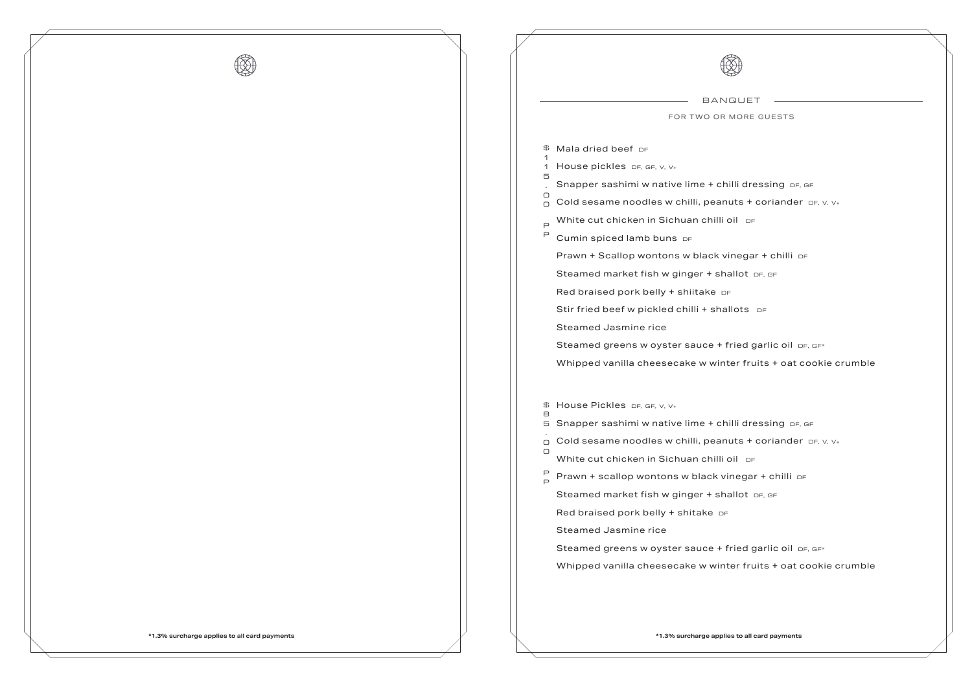

|             | BANG                                      |
|-------------|-------------------------------------------|
|             | FOR TWO OR M                              |
| \$          | Mala dried beef DF                        |
| 1<br>1      | House pickles DF, GF, V, V+               |
| 5           | Snapper sashimi w native lime + chill     |
| O<br>n      | Cold sesame noodles w chilli, peanut      |
| $\Box$      | White cut chicken in Sichuan chilli oi    |
| Ρ           | Cumin spiced lamb buns DF                 |
|             | Prawn + Scallop wontons w black vin       |
|             | Steamed market fish w ginger + shal       |
|             | Red braised pork belly + shiitake $DF$    |
|             | Stir fried beef w pickled chilli + shalld |
|             | <b>Steamed Jasmine rice</b>               |
|             | Steamed greens w oyster sauce + fri       |
|             | Whipped vanilla cheesecake w winte        |
| \$          | House Pickles DF, GF, V, V+               |
| 8<br>5      | Snapper sashimi w native lime + chill     |
| ∩           | Cold sesame noodles w chilli, peanut      |
| О           | White cut chicken in Sichuan chilli oi    |
| P<br>$\Box$ | Prawn + scallop wontons w black vin       |
|             | Steamed market fish w ginger + shal       |
|             | Red braised pork belly + shitake $DF$     |
|             | <b>Steamed Jasmine rice</b>               |
|             | Steamed greens w oyster sauce + fri       |
|             | Whipped vanilla cheesecake w winte        |
|             |                                           |

```
BANQUET
IORE GUESTS
```
Ii dressing DF, GF  $MSE + coriander$  DF, V, V+ il of

Pragar + chilli DF



 $Hot$  DF, GF

Ots of

 $id$  garlic oil <sub>DF, GF\*</sub> er fruits + oat cookie crumble

Ili dressing <sub>DF, GF</sub>  $R$  its + coriander  $DF$ ,  $V$ ,  $V_+$ il of Pragar + chilli DF  $Hot$  DF, GF

 $id$  garlic oil DF, GF\* er fruits + oat cookie crumble